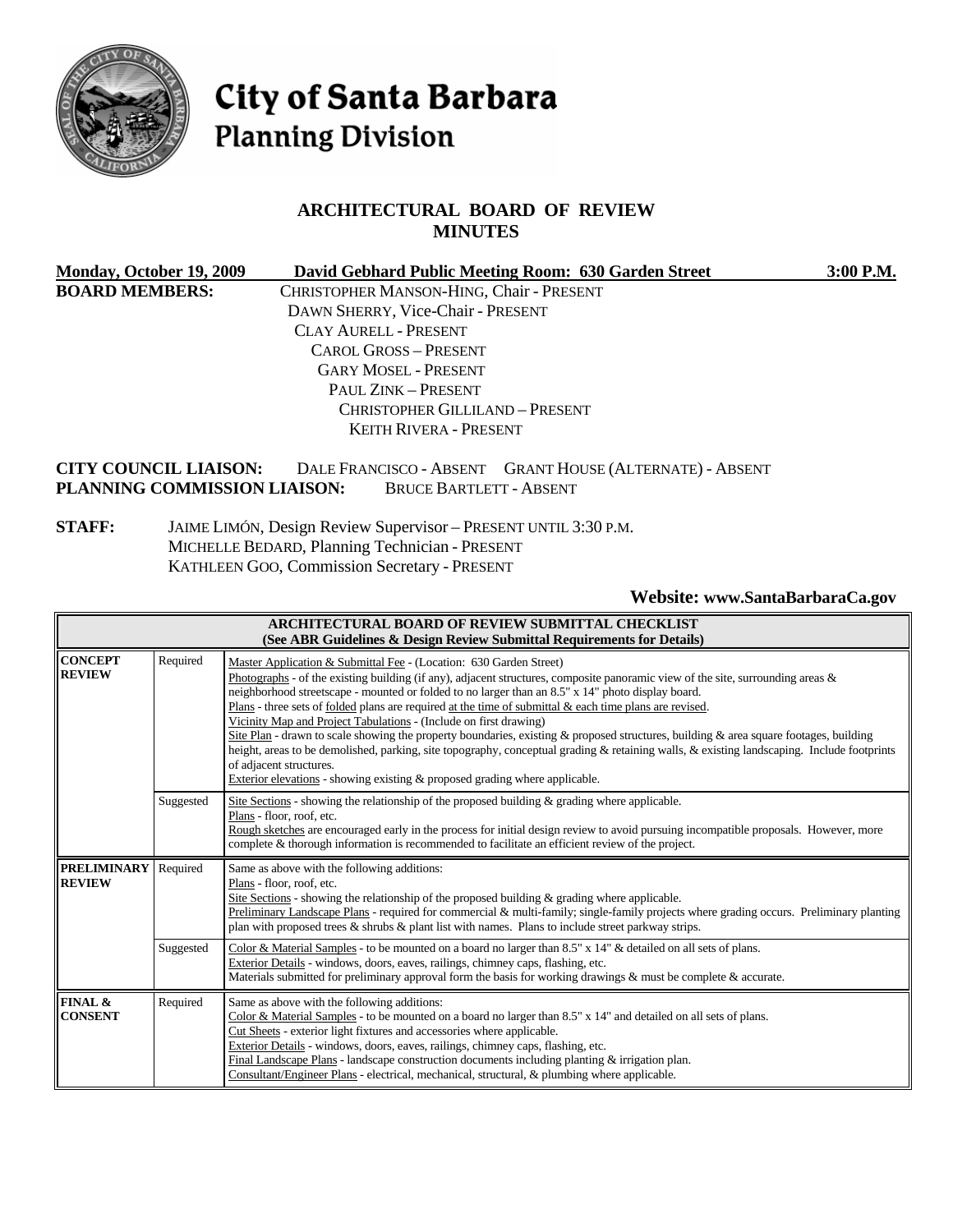

# City of Santa Barbara **Planning Division**

#### **ARCHITECTURAL BOARD OF REVIEW MINUTES**

| Monday, October 19, 2009                                     | David Gebhard Public Meeting Room: 630 Garden Street                                       | 3:00 P.M. |
|--------------------------------------------------------------|--------------------------------------------------------------------------------------------|-----------|
| <b>BOARD MEMBERS:</b>                                        | CHRISTOPHER MANSON-HING, Chair - PRESENT                                                   |           |
|                                                              | DAWN SHERRY, Vice-Chair - PRESENT                                                          |           |
|                                                              | <b>CLAY AURELL - PRESENT</b>                                                               |           |
|                                                              | <b>CAROL GROSS - PRESENT</b>                                                               |           |
|                                                              | <b>GARY MOSEL - PRESENT</b>                                                                |           |
|                                                              | PAUL ZINK - PRESENT                                                                        |           |
|                                                              | <b>CHRISTOPHER GILLILAND - PRESENT</b>                                                     |           |
|                                                              | KEITH RIVERA - PRESENT                                                                     |           |
| <b>CITY COUNCIL LIAISON:</b><br>PLANNING COMMISSION LIAISON: | DALE FRANCISCO - ABSENT GRANT HOUSE (ALTERNATE) - ABSENT<br><b>BRUCE BARTLETT - ABSENT</b> |           |

#### **STAFF:** JAIME LIMÓN, Design Review Supervisor – PRESENT UNTIL 3:30 P.M. MICHELLE BEDARD, Planning Technician - PRESENT KATHLEEN GOO, Commission Secretary - PRESENT

**Website: [www.SantaBarbaraCa.gov](http://www.santabarbaraca.gov/)** 

| ARCHITECTURAL BOARD OF REVIEW SUBMITTAL CHECKLIST<br>(See ABR Guidelines & Design Review Submittal Requirements for Details) |           |                                                                                                                                                                                                                                                                                                                                                                                                                                                                                                                                                                                                                                                                                                                                                                                                                                                                                                          |  |
|------------------------------------------------------------------------------------------------------------------------------|-----------|----------------------------------------------------------------------------------------------------------------------------------------------------------------------------------------------------------------------------------------------------------------------------------------------------------------------------------------------------------------------------------------------------------------------------------------------------------------------------------------------------------------------------------------------------------------------------------------------------------------------------------------------------------------------------------------------------------------------------------------------------------------------------------------------------------------------------------------------------------------------------------------------------------|--|
| <b>CONCEPT</b><br><b>REVIEW</b>                                                                                              | Required  | Master Application & Submittal Fee - (Location: 630 Garden Street)<br>Photographs - of the existing building (if any), adjacent structures, composite panoramic view of the site, surrounding areas $\&$<br>neighborhood streetscape - mounted or folded to no larger than an 8.5" x 14" photo display board.<br>Plans - three sets of <u>folded</u> plans are required at the time of submittal & each time plans are revised.<br>Vicinity Map and Project Tabulations - (Include on first drawing)<br>Site Plan - drawn to scale showing the property boundaries, existing & proposed structures, building & area square footages, building<br>height, areas to be demolished, parking, site topography, conceptual grading & retaining walls, & existing landscaping. Include footprints<br>of adjacent structures.<br>Exterior elevations - showing existing $\&$ proposed grading where applicable. |  |
|                                                                                                                              | Suggested | Site Sections - showing the relationship of the proposed building $\&$ grading where applicable.<br>Plans - floor, roof, etc.<br>Rough sketches are encouraged early in the process for initial design review to avoid pursuing incompatible proposals. However, more<br>complete & thorough information is recommended to facilitate an efficient review of the project.                                                                                                                                                                                                                                                                                                                                                                                                                                                                                                                                |  |
| <b>PRELIMINARY</b><br>Required<br>Same as above with the following additions:<br><b>REVIEW</b><br>Plans - floor, roof, etc.  |           | Site Sections - showing the relationship of the proposed building $\&$ grading where applicable.<br>Preliminary Landscape Plans - required for commercial & multi-family; single-family projects where grading occurs. Preliminary planting<br>plan with proposed trees & shrubs & plant list with names. Plans to include street parkway strips.                                                                                                                                                                                                                                                                                                                                                                                                                                                                                                                                                        |  |
|                                                                                                                              | Suggested | Color & Material Samples - to be mounted on a board no larger than $8.5" \times 14"$ & detailed on all sets of plans.<br>Exterior Details - windows, doors, eaves, railings, chimney caps, flashing, etc.<br>Materials submitted for preliminary approval form the basis for working drawings & must be complete & accurate.                                                                                                                                                                                                                                                                                                                                                                                                                                                                                                                                                                             |  |
| FINAL &<br><b>CONSENT</b>                                                                                                    | Required  | Same as above with the following additions:<br>Color & Material Samples - to be mounted on a board no larger than 8.5" x 14" and detailed on all sets of plans.<br>Cut Sheets - exterior light fixtures and accessories where applicable.<br>Exterior Details - windows, doors, eaves, railings, chimney caps, flashing, etc.<br>Final Landscape Plans - landscape construction documents including planting & irrigation plan.<br>Consultant/Engineer Plans - electrical, mechanical, structural, & plumbing where applicable.                                                                                                                                                                                                                                                                                                                                                                          |  |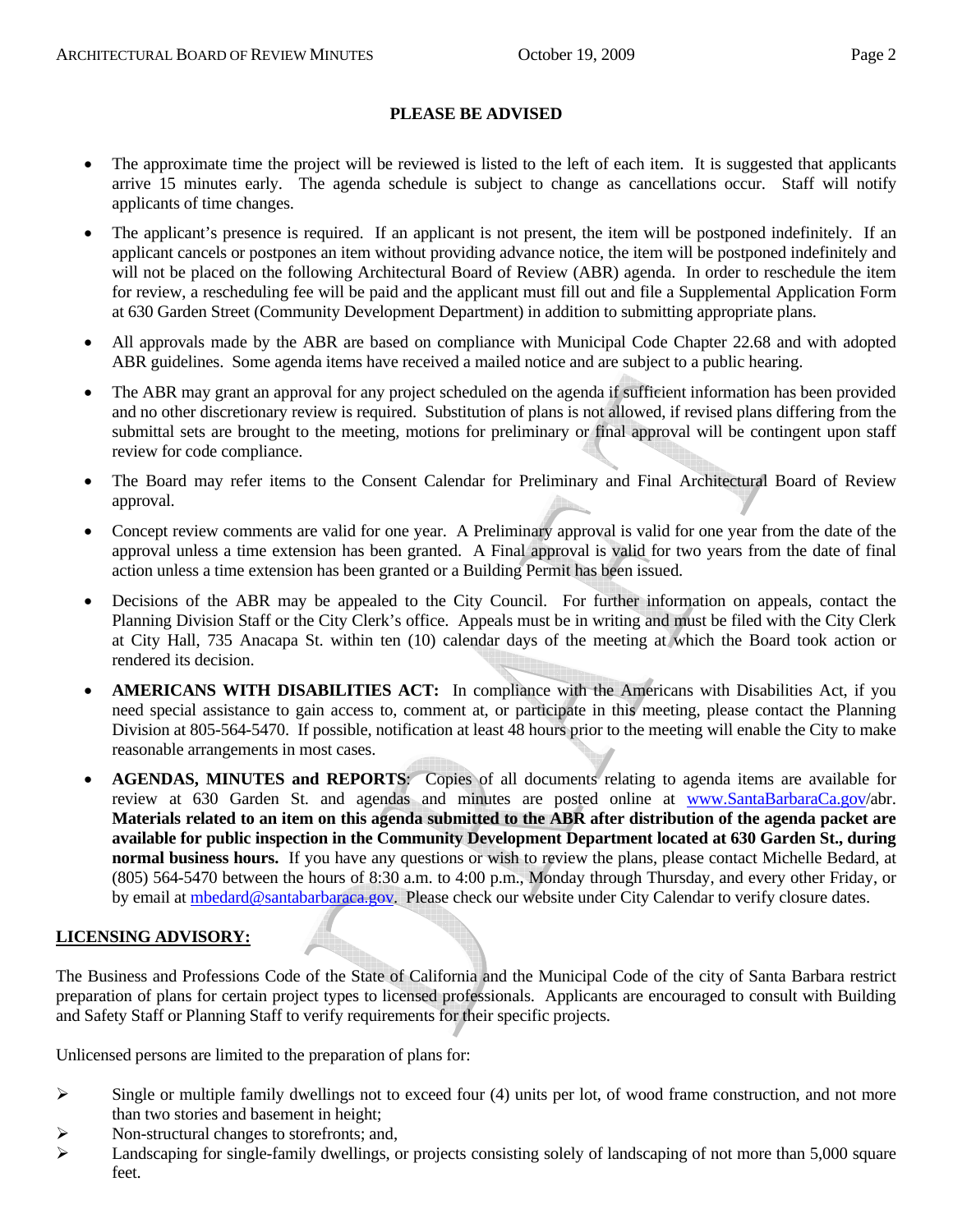#### **PLEASE BE ADVISED**

- The approximate time the project will be reviewed is listed to the left of each item. It is suggested that applicants arrive 15 minutes early. The agenda schedule is subject to change as cancellations occur. Staff will notify applicants of time changes.
- The applicant's presence is required. If an applicant is not present, the item will be postponed indefinitely. If an applicant cancels or postpones an item without providing advance notice, the item will be postponed indefinitely and will not be placed on the following Architectural Board of Review (ABR) agenda. In order to reschedule the item for review, a rescheduling fee will be paid and the applicant must fill out and file a Supplemental Application Form at 630 Garden Street (Community Development Department) in addition to submitting appropriate plans.
- All approvals made by the ABR are based on compliance with Municipal Code Chapter 22.68 and with adopted ABR guidelines. Some agenda items have received a mailed notice and are subject to a public hearing.
- The ABR may grant an approval for any project scheduled on the agenda if sufficient information has been provided and no other discretionary review is required. Substitution of plans is not allowed, if revised plans differing from the submittal sets are brought to the meeting, motions for preliminary or final approval will be contingent upon staff review for code compliance.
- The Board may refer items to the Consent Calendar for Preliminary and Final Architectural Board of Review approval.
- Concept review comments are valid for one year. A Preliminary approval is valid for one year from the date of the approval unless a time extension has been granted. A Final approval is valid for two years from the date of final action unless a time extension has been granted or a Building Permit has been issued.
- Decisions of the ABR may be appealed to the City Council. For further information on appeals, contact the Planning Division Staff or the City Clerk's office. Appeals must be in writing and must be filed with the City Clerk at City Hall, 735 Anacapa St. within ten (10) calendar days of the meeting at which the Board took action or rendered its decision.
- **AMERICANS WITH DISABILITIES ACT:** In compliance with the Americans with Disabilities Act, if you need special assistance to gain access to, comment at, or participate in this meeting, please contact the Planning Division at 805-564-5470. If possible, notification at least 48 hours prior to the meeting will enable the City to make reasonable arrangements in most cases.
- **AGENDAS, MINUTES and REPORTS**: Copies of all documents relating to agenda items are available for review at 630 Garden St. and agendas and minutes are posted online at [www.SantaBarbaraCa.gov/](http://www.santabarbaraca.gov/)abr. **Materials related to an item on this agenda submitted to the ABR after distribution of the agenda packet are available for public inspection in the Community Development Department located at 630 Garden St., during normal business hours.** If you have any questions or wish to review the plans, please contact Michelle Bedard, at (805) 564-5470 between the hours of 8:30 a.m. to 4:00 p.m., Monday through Thursday, and every other Friday, or by email at [mbedard@santabarbaraca.gov](mailto:mbedard@santabarbaraca.gov). Please check our website under City Calendar to verify closure dates.

#### **LICENSING ADVISORY:**

The Business and Professions Code of the State of California and the Municipal Code of the city of Santa Barbara restrict preparation of plans for certain project types to licensed professionals. Applicants are encouraged to consult with Building and Safety Staff or Planning Staff to verify requirements for their specific projects.

Unlicensed persons are limited to the preparation of plans for:

- $\triangleright$  Single or multiple family dwellings not to exceed four (4) units per lot, of wood frame construction, and not more than two stories and basement in height;
- $\triangleright$  Non-structural changes to storefronts; and,
- $\blacktriangleright$  Landscaping for single-family dwellings, or projects consisting solely of landscaping of not more than 5,000 square feet.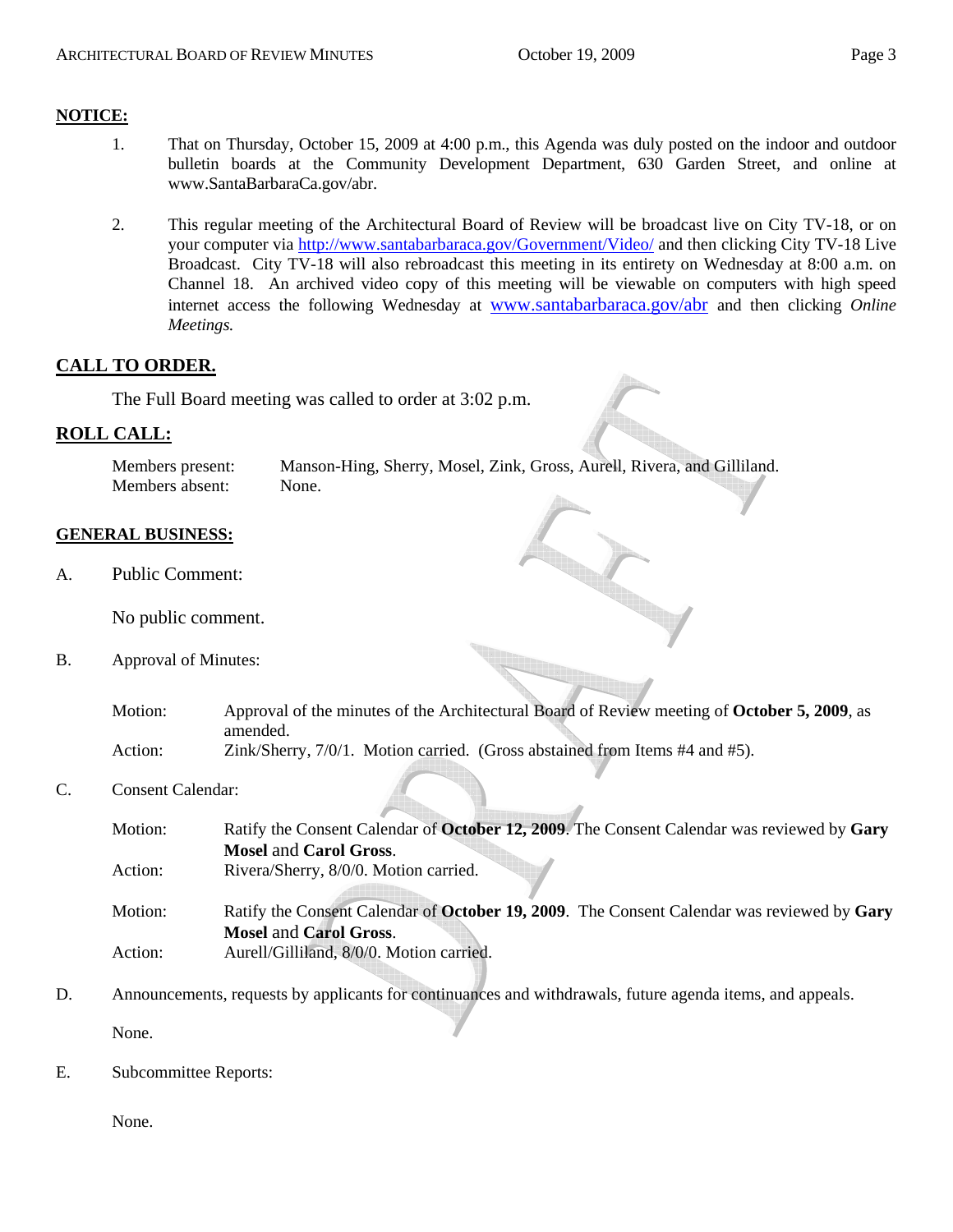#### **NOTICE:**

- 1. That on Thursday, October 15, 2009 at 4:00 p.m., this Agenda was duly posted on the indoor and outdoor bulletin boards at the Community Development Department, 630 Garden Street, and online at [www.SantaBarbaraCa.gov/abr.](http://www.santabarbaraca.gov/abr)
- 2. This regular meeting of the Architectural Board of Review will be broadcast live on City TV-18, or on your computer via <http://www.santabarbaraca.gov/Government/Video/> and then clicking City TV-18 Live Broadcast. City TV-18 will also rebroadcast this meeting in its entirety on Wednesday at 8:00 a.m. on Channel 18. An archived video copy of this meeting will be viewable on computers with high speed internet access the following Wednesday at [www.santabarbaraca.gov/abr](http://www.santabarbaraca.gov/abr) and then clicking *Online Meetings.*

#### **CALL TO ORDER.**

The Full Board meeting was called to order at 3:02 p.m.

#### **ROLL CALL:**

Members present: Manson-Hing, Sherry, Mosel, Zink, Gross, Aurell, Rivera, and Gilliland. Members absent: None.

#### **GENERAL BUSINESS:**

A. Public Comment:

No public comment.

B. Approval of Minutes:

Motion: Approval of the minutes of the Architectural Board of Review meeting of **October 5, 2009**, as amended. Action: Zink/Sherry, 7/0/1. Motion carried. (Gross abstained from Items #4 and #5).

C. Consent Calendar:

| Motion: | Ratify the Consent Calendar of October 12, 2009. The Consent Calendar was reviewed by Gary                                  |
|---------|-----------------------------------------------------------------------------------------------------------------------------|
|         | <b>Mosel and Carol Gross.</b>                                                                                               |
| Action: | Rivera/Sherry, 8/0/0. Motion carried.                                                                                       |
| Motion: | Ratify the Consent Calendar of October 19, 2009. The Consent Calendar was reviewed by Gary<br><b>Mosel and Carol Gross.</b> |
| Action: | Aurell/Gilliland, 8/0/0. Motion carried.                                                                                    |

D. Announcements, requests by applicants for continuances and withdrawals, future agenda items, and appeals.

None.

E. Subcommittee Reports:

None.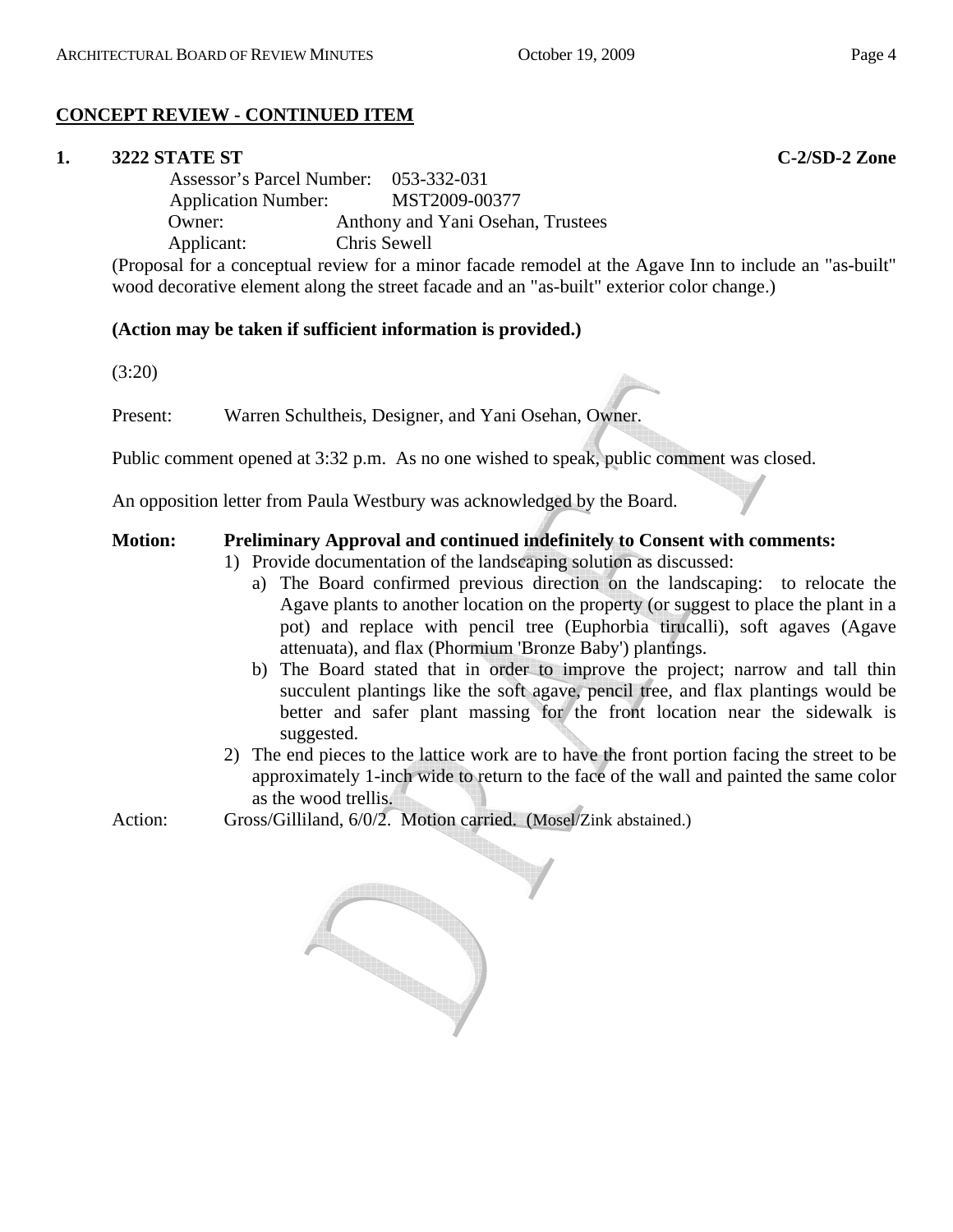# **CONCEPT REVIEW - CONTINUED ITEM**

#### **1. 3222 STATE ST C-2/SD-2 Zone**

 Assessor's Parcel Number: 053-332-031 Application Number: MST2009-00377 Owner: Anthony and Yani Osehan, Trustees Applicant: Chris Sewell

(Proposal for a conceptual review for a minor facade remodel at the Agave Inn to include an "as-built" wood decorative element along the street facade and an "as-built" exterior color change.)

#### **(Action may be taken if sufficient information is provided.)**

(3:20)

Present: Warren Schultheis, Designer, and Yani Osehan, Owner.

Public comment opened at 3:32 p.m. As no one wished to speak, public comment was closed.

An opposition letter from Paula Westbury was acknowledged by the Board.

#### **Motion: Preliminary Approval and continued indefinitely to Consent with comments:**

- 1) Provide documentation of the landscaping solution as discussed:
	- a) The Board confirmed previous direction on the landscaping: to relocate the Agave plants to another location on the property (or suggest to place the plant in a pot) and replace with pencil tree (Euphorbia tirucalli), soft agaves (Agave attenuata), and flax (Phormium 'Bronze Baby') plantings.
	- b) The Board stated that in order to improve the project; narrow and tall thin succulent plantings like the soft agave, pencil tree, and flax plantings would be better and safer plant massing for the front location near the sidewalk is suggested.
- 2) The end pieces to the lattice work are to have the front portion facing the street to be approximately 1-inch wide to return to the face of the wall and painted the same color as the wood trellis.

Action: Gross/Gilliland, 6/0/2. Motion carried. (Mosel/Zink abstained.)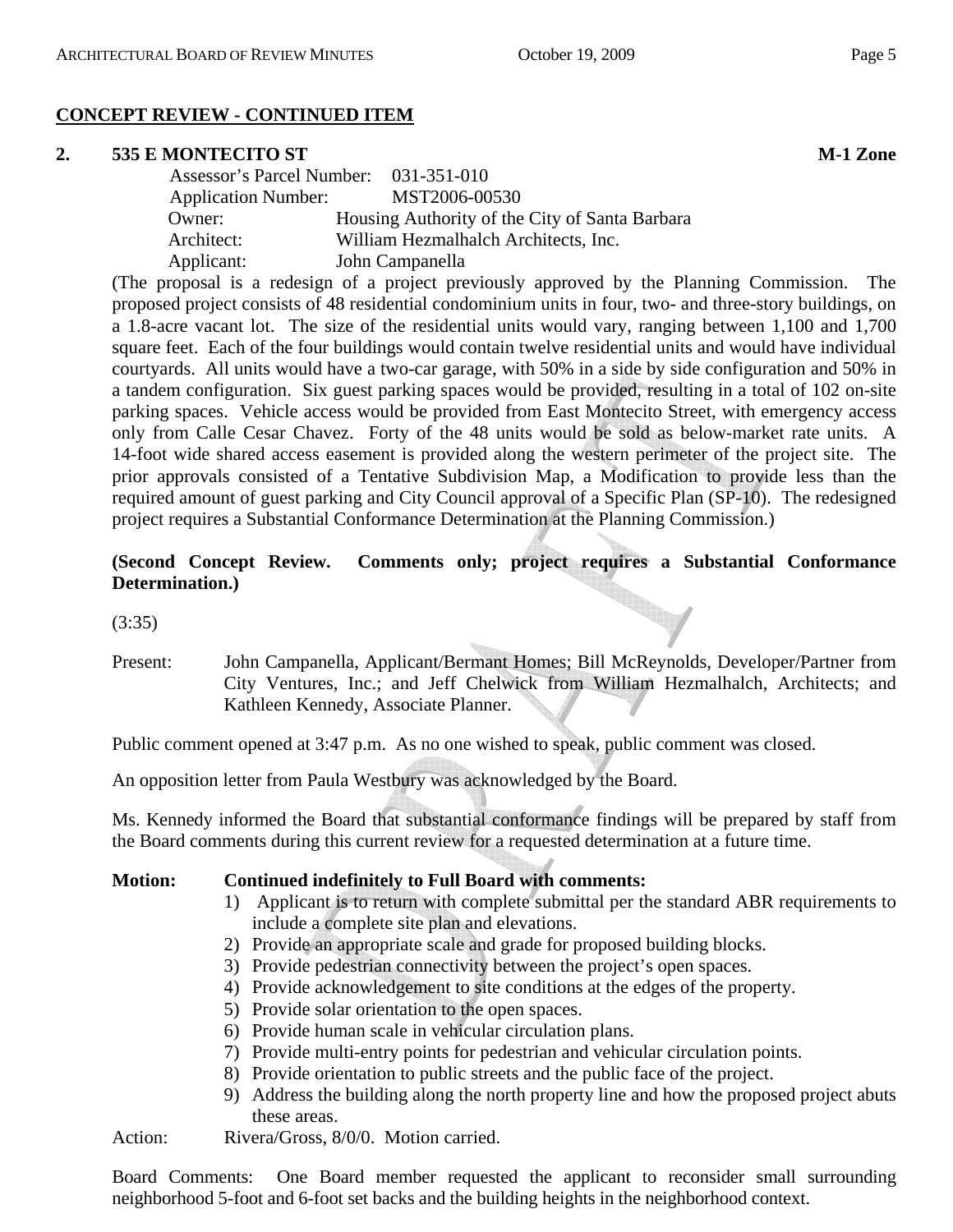# **CONCEPT REVIEW - CONTINUED ITEM**

#### **2. 535 E MONTECITO ST M-1 Zone**

| Assessor's Parcel Number: 031-351-010 |                                                |
|---------------------------------------|------------------------------------------------|
| <b>Application Number:</b>            | MST2006-00530                                  |
| Owner:                                | Housing Authority of the City of Santa Barbara |
| Architect:                            | William Hezmalhalch Architects, Inc.           |
| Applicant:                            | John Campanella                                |

(The proposal is a redesign of a project previously approved by the Planning Commission. The proposed project consists of 48 residential condominium units in four, two- and three-story buildings, on a 1.8-acre vacant lot. The size of the residential units would vary, ranging between 1,100 and 1,700 square feet. Each of the four buildings would contain twelve residential units and would have individual courtyards. All units would have a two-car garage, with 50% in a side by side configuration and 50% in a tandem configuration. Six guest parking spaces would be provided, resulting in a total of 102 on-site parking spaces. Vehicle access would be provided from East Montecito Street, with emergency access only from Calle Cesar Chavez. Forty of the 48 units would be sold as below-market rate units. A 14-foot wide shared access easement is provided along the western perimeter of the project site. The prior approvals consisted of a Tentative Subdivision Map, a Modification to provide less than the required amount of guest parking and City Council approval of a Specific Plan (SP-10). The redesigned project requires a Substantial Conformance Determination at the Planning Commission.)

# **(Second Concept Review. Comments only; project requires a Substantial Conformance Determination.)**

(3:35)

Present: John Campanella, Applicant/Bermant Homes; Bill McReynolds, Developer/Partner from City Ventures, Inc.; and Jeff Chelwick from William Hezmalhalch, Architects; and Kathleen Kennedy, Associate Planner.

Public comment opened at 3:47 p.m. As no one wished to speak, public comment was closed.

An opposition letter from Paula Westbury was acknowledged by the Board.

Ms. Kennedy informed the Board that substantial conformance findings will be prepared by staff from the Board comments during this current review for a requested determination at a future time.

#### **Motion: Continued indefinitely to Full Board with comments:**

- 1) Applicant is to return with complete submittal per the standard ABR requirements to include a complete site plan and elevations.
- 2) Provide an appropriate scale and grade for proposed building blocks.
- 3) Provide pedestrian connectivity between the project's open spaces.
- 4) Provide acknowledgement to site conditions at the edges of the property.
- 5) Provide solar orientation to the open spaces.
- 6) Provide human scale in vehicular circulation plans.
- 7) Provide multi-entry points for pedestrian and vehicular circulation points.
- 8) Provide orientation to public streets and the public face of the project.
- 9) Address the building along the north property line and how the proposed project abuts these areas.

Action: Rivera/Gross, 8/0/0. Motion carried.

Board Comments: One Board member requested the applicant to reconsider small surrounding neighborhood 5-foot and 6-foot set backs and the building heights in the neighborhood context.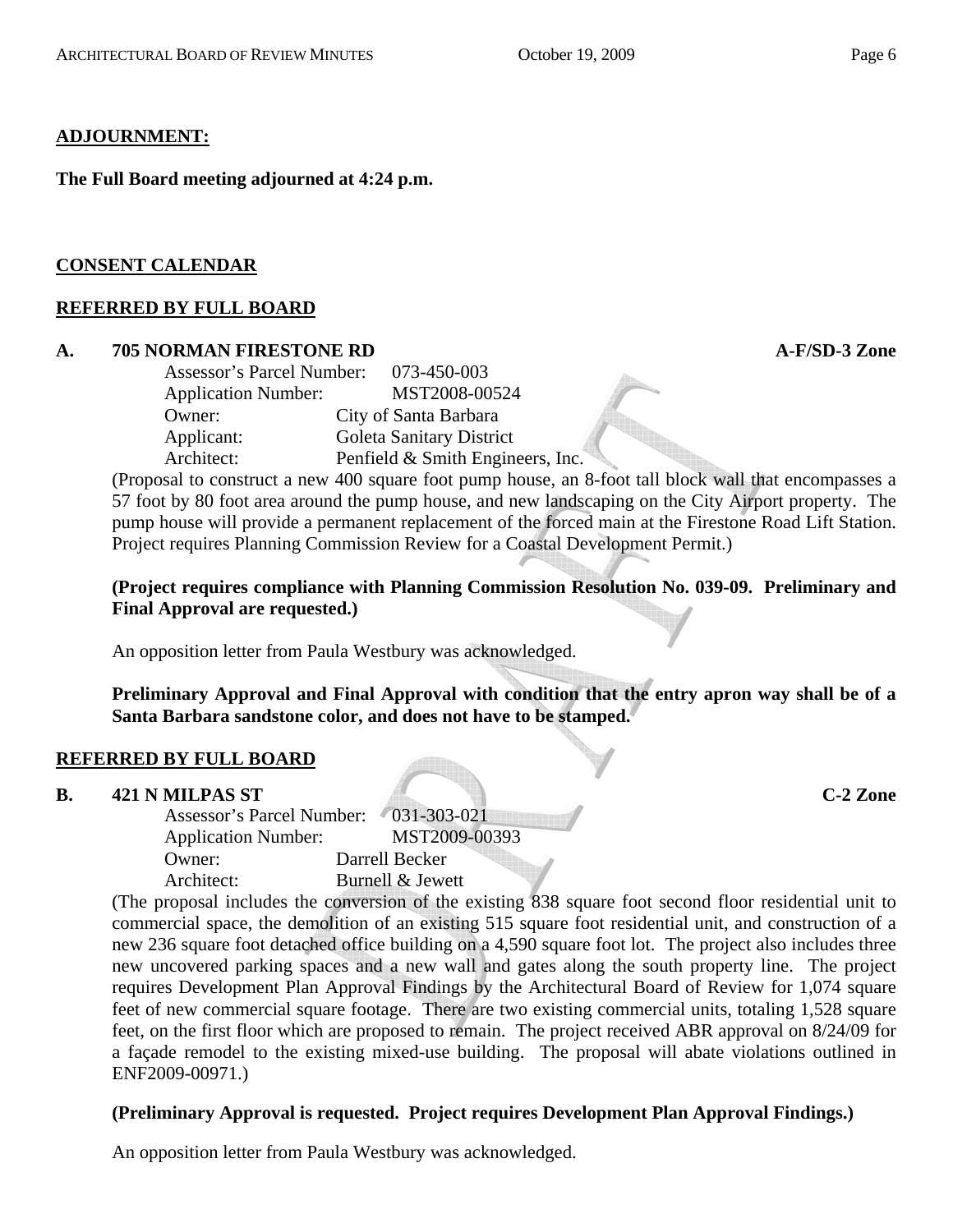#### **ADJOURNMENT:**

**The Full Board meeting adjourned at 4:24 p.m.** 

#### **CONSENT CALENDAR**

#### **REFERRED BY FULL BOARD**

#### **A. 705 NORMAN FIRESTONE RD A-F/SD-3 Zone**

| <b>Assessor's Parcel Number:</b> | 073-450-003                      |
|----------------------------------|----------------------------------|
| <b>Application Number:</b>       | MST2008-00524                    |
| Owner:                           | City of Santa Barbara            |
| Applicant:                       | Goleta Sanitary District         |
| Architect:                       | Penfield & Smith Engineers, Inc. |

(Proposal to construct a new 400 square foot pump house, an 8-foot tall block wall that encompasses a 57 foot by 80 foot area around the pump house, and new landscaping on the City Airport property. The pump house will provide a permanent replacement of the forced main at the Firestone Road Lift Station. Project requires Planning Commission Review for a Coastal Development Permit.)

**(Project requires compliance with Planning Commission Resolution No. 039-09. Preliminary and Final Approval are requested.)** 

An opposition letter from Paula Westbury was acknowledged.

**Preliminary Approval and Final Approval with condition that the entry apron way shall be of a Santa Barbara sandstone color, and does not have to be stamped.**

#### **REFERRED BY FULL BOARD**

#### **B. 421 N MILPAS ST C-2 Zone**

| Assessor's Parcel Number: 031-303-021 |                  |
|---------------------------------------|------------------|
| <b>Application Number:</b>            | MST2009-00393    |
| Owner:                                | Darrell Becker   |
| Architect:                            | Burnell & Jewett |

(The proposal includes the conversion of the existing 838 square foot second floor residential unit to commercial space, the demolition of an existing 515 square foot residential unit, and construction of a new 236 square foot detached office building on a 4,590 square foot lot. The project also includes three new uncovered parking spaces and a new wall and gates along the south property line. The project requires Development Plan Approval Findings by the Architectural Board of Review for 1,074 square feet of new commercial square footage. There are two existing commercial units, totaling 1,528 square feet, on the first floor which are proposed to remain. The project received ABR approval on 8/24/09 for a façade remodel to the existing mixed-use building. The proposal will abate violations outlined in ENF2009-00971.)

#### **(Preliminary Approval is requested. Project requires Development Plan Approval Findings.)**

An opposition letter from Paula Westbury was acknowledged.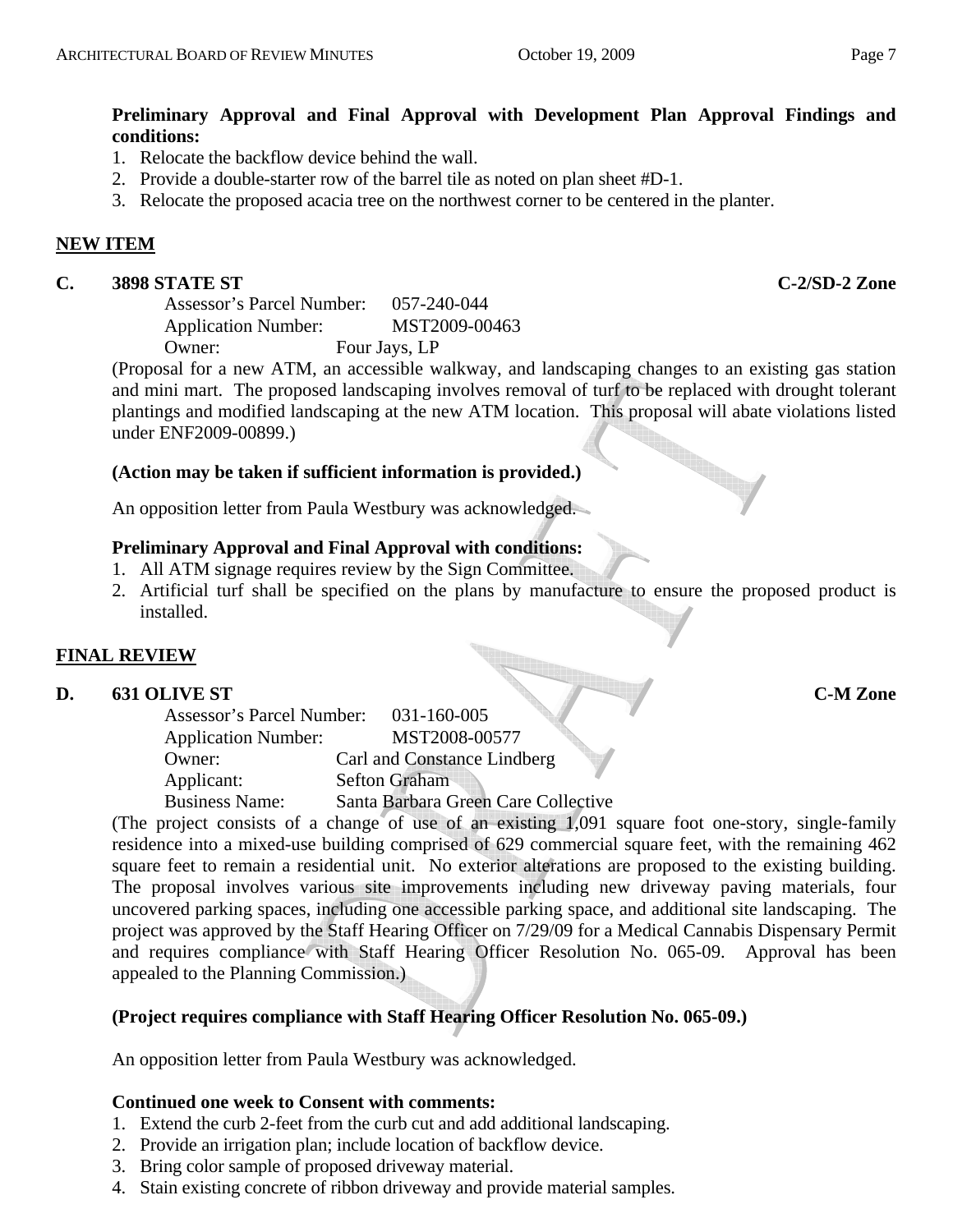# **Preliminary Approval and Final Approval with Development Plan Approval Findings and conditions:**

- 1. Relocate the backflow device behind the wall.
- 2. Provide a double-starter row of the barrel tile as noted on plan sheet #D-1.
- 3. Relocate the proposed acacia tree on the northwest corner to be centered in the planter.

#### **NEW ITEM**

#### **C. 3898 STATE ST C-2/SD-2 Zone**

Assessor's Parcel Number: 057-240-044 Application Number: MST2009-00463 Owner: Four Jays, LP

(Proposal for a new ATM, an accessible walkway, and landscaping changes to an existing gas station and mini mart. The proposed landscaping involves removal of turf to be replaced with drought tolerant plantings and modified landscaping at the new ATM location. This proposal will abate violations listed under ENF2009-00899.)

#### **(Action may be taken if sufficient information is provided.)**

An opposition letter from Paula Westbury was acknowledged.

#### **Preliminary Approval and Final Approval with conditions:**

- 1. All ATM signage requires review by the Sign Committee.
- 2. Artificial turf shall be specified on the plans by manufacture to ensure the proposed product is installed.

#### **FINAL REVIEW**

# **EINAL KEVIEW**<br>D. 631 OLIVE ST C-M Zone

| Assessor's Parcel Number:  | 031-160-005                         |
|----------------------------|-------------------------------------|
| <b>Application Number:</b> | MST2008-00577                       |
| Owner:                     | Carl and Constance Lindberg         |
| Applicant:                 | <b>Sefton Graham</b>                |
| <b>Business Name:</b>      | Santa Barbara Green Care Collective |

(The project consists of a change of use of an existing 1,091 square foot one-story, single-family residence into a mixed-use building comprised of 629 commercial square feet, with the remaining 462 square feet to remain a residential unit. No exterior alterations are proposed to the existing building. The proposal involves various site improvements including new driveway paving materials, four uncovered parking spaces, including one accessible parking space, and additional site landscaping. The project was approved by the Staff Hearing Officer on 7/29/09 for a Medical Cannabis Dispensary Permit and requires compliance with Staff Hearing Officer Resolution No. 065-09. Approval has been appealed to the Planning Commission.)

#### **(Project requires compliance with Staff Hearing Officer Resolution No. 065-09.)**

An opposition letter from Paula Westbury was acknowledged.

#### **Continued one week to Consent with comments:**

- 1. Extend the curb 2-feet from the curb cut and add additional landscaping.
- 2. Provide an irrigation plan; include location of backflow device.
- 3. Bring color sample of proposed driveway material.
- 4. Stain existing concrete of ribbon driveway and provide material samples.